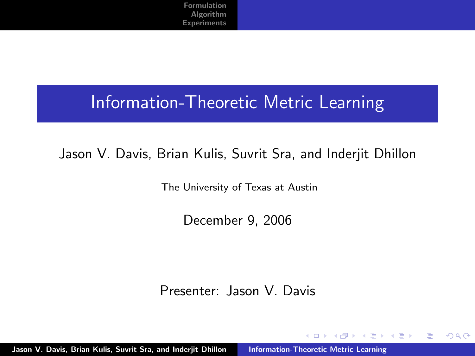#### Information-Theoretic Metric Learning

#### Jason V. Davis, Brian Kulis, Suvrit Sra, and Inderjit Dhillon

The University of Texas at Austin

December 9, 2006

Presenter: Jason V. Davis

→ 伊 → → 目 →

 $\rightarrow$   $\equiv$   $\rightarrow$ 

 $4.17 \times$ 

 $2Q$ 

<span id="page-0-0"></span>目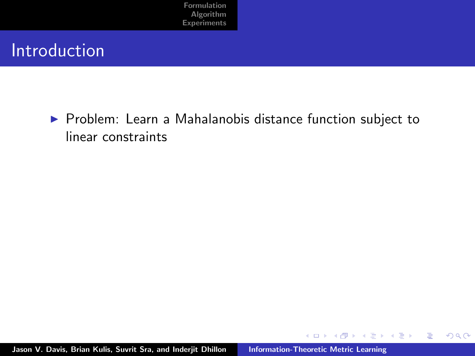#### Introduction

▶ Problem: Learn a Mahalanobis distance function subject to linear constraints

K ロ ⊁ K 倒 ≯ K ミ ⊁ K ミ ≯

重

 $299$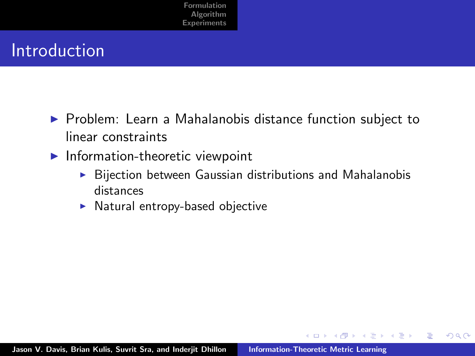### Introduction

- $\triangleright$  Problem: Learn a Mahalanobis distance function subject to linear constraints
- $\blacktriangleright$  Information-theoretic viewpoint
	- $\triangleright$  Bijection between Gaussian distributions and Mahalanobis distances

 $4.57 + 4.77 +$ 

不同 医

 $4.17 \times$ 

 $2Q$ 

重

 $\blacktriangleright$  Natural entropy-based objective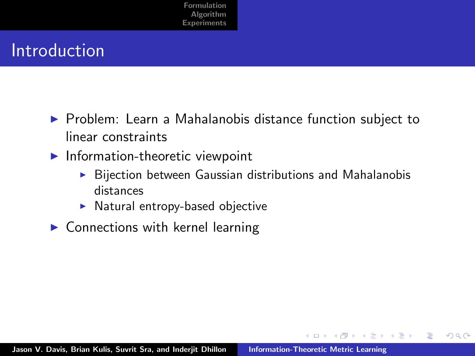## Introduction

- $\triangleright$  Problem: Learn a Mahalanobis distance function subject to linear constraints
- $\blacktriangleright$  Information-theoretic viewpoint
	- $\triangleright$  Bijection between Gaussian distributions and Mahalanobis distances

 $2Q$ 

 $\mathcal{A}$   $\mathcal{F}$   $\mathcal{F}$   $\mathcal{A}$   $\mathcal{F}$   $\mathcal{F}$ 

 $\equiv$   $\rightarrow$ 

- $\blacktriangleright$  Natural entropy-based objective
- $\blacktriangleright$  Connections with kernel learning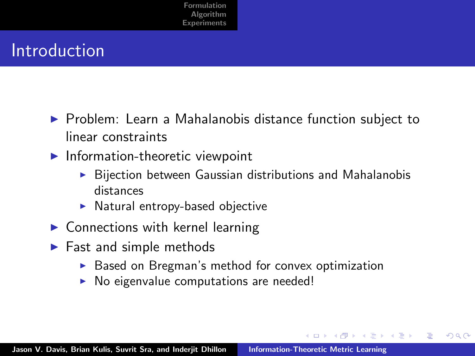## Introduction

- $\triangleright$  Problem: Learn a Mahalanobis distance function subject to linear constraints
- $\blacktriangleright$  Information-theoretic viewpoint
	- Bijection between Gaussian distributions and Mahalanobis distances
	- $\blacktriangleright$  Natural entropy-based objective
- $\triangleright$  Connections with kernel learning
- $\blacktriangleright$  Fast and simple methods
	- Based on Bregman's method for convex optimization

 $\mathcal{A}$   $\mathcal{F}$   $\mathcal{F}$   $\mathcal{A}$   $\mathcal{F}$   $\mathcal{F}$ 

へのへ

 $\triangleright$  No eigenvalue computations are needed!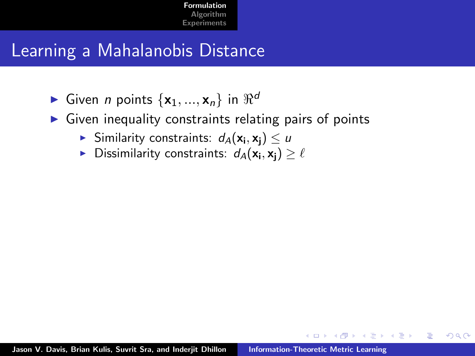## Learning a Mahalanobis Distance

- Given *n* points  $\{x_1, ..., x_n\}$  in  $\Re^d$
- $\triangleright$  Given inequality constraints relating pairs of points
	- $\blacktriangleright$  Similarity constraints:  $d_A(\mathsf{x_i},\mathsf{x_j}) \leq u$
	- $\blacktriangleright$  Dissimilarity constraints:  $d_A(\mathsf{x_i}, \mathsf{x_j}) \geq \ell$

<span id="page-5-0"></span> $2Q$ 

する トランディング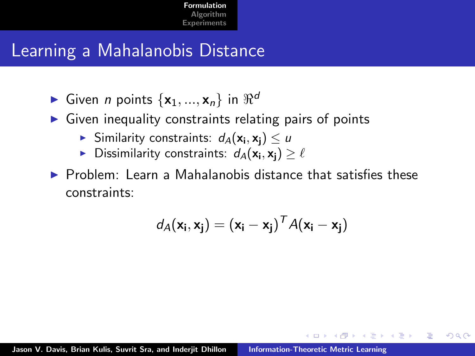## Learning a Mahalanobis Distance

- Given *n* points  $\{x_1, ..., x_n\}$  in  $\Re^d$
- $\triangleright$  Given inequality constraints relating pairs of points
	- $\blacktriangleright$  Similarity constraints:  $d_A(\mathsf{x_i},\mathsf{x_j}) \leq u$
	- $\blacktriangleright$  Dissimilarity constraints:  $d_A(\mathsf{x_i}, \mathsf{x_j}) \geq \ell$
- $\triangleright$  Problem: Learn a Mahalanobis distance that satisfies these constraints:

$$
d_A(\mathbf{x}_i, \mathbf{x}_j) = (\mathbf{x}_i - \mathbf{x}_j)^T A(\mathbf{x}_i - \mathbf{x}_j)
$$

4 A 6 4 F 6

へのへ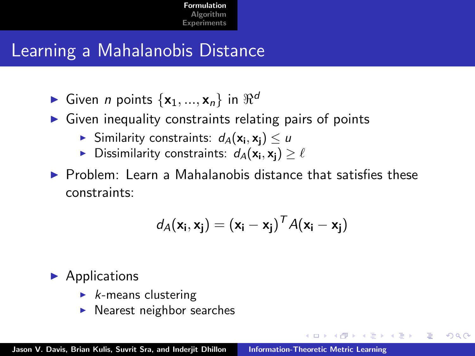## Learning a Mahalanobis Distance

- Given *n* points  $\{x_1, ..., x_n\}$  in  $\Re^d$
- $\triangleright$  Given inequality constraints relating pairs of points
	- $\blacktriangleright$  Similarity constraints:  $d_A(\mathsf{x_i},\mathsf{x_j}) \leq u$
	- $\blacktriangleright$  Dissimilarity constraints:  $d_A(\mathsf{x_i}, \mathsf{x_j}) \geq \ell$
- $\triangleright$  Problem: Learn a Mahalanobis distance that satisfies these constraints:

$$
d_A(\mathbf{x}_i, \mathbf{x}_j) = (\mathbf{x}_i - \mathbf{x}_j)^T A(\mathbf{x}_i - \mathbf{x}_j)
$$

4 A 6 4 F 6

へのへ

 $\blacktriangleright$  Applications

- $\blacktriangleright$  *k*-means clustering
- Nearest neighbor searches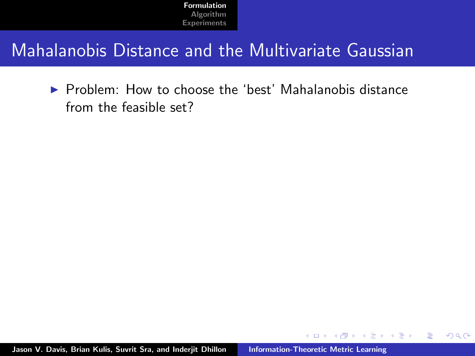### Mahalanobis Distance and the Multivariate Gaussian

 $\triangleright$  Problem: How to choose the 'best' Mahalanobis distance from the feasible set?

 $4.17 \pm 1.0$ 

 $\leftarrow$   $\overline{m}$   $\rightarrow$ 

 $\rightarrow$   $\equiv$   $\rightarrow$ 

 $\rightarrow$   $\equiv$   $\rightarrow$ 

 $2Q$ 

重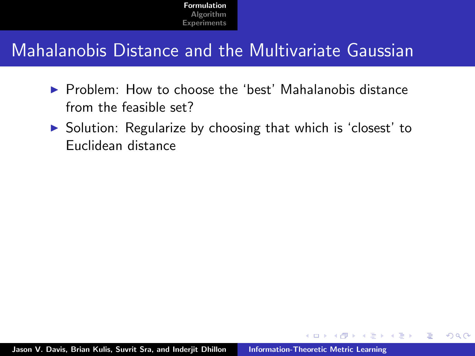## Mahalanobis Distance and the Multivariate Gaussian

- $\triangleright$  Problem: How to choose the 'best' Mahalanobis distance from the feasible set?
- ▶ Solution: Regularize by choosing that which is 'closest' to Euclidean distance

 $2Q$ 

 $\mathcal{A}$   $\mathcal{F}$   $\mathcal{F}$   $\mathcal{A}$   $\mathcal{F}$   $\mathcal{F}$ 

 $\rightarrow$   $\equiv$   $\rightarrow$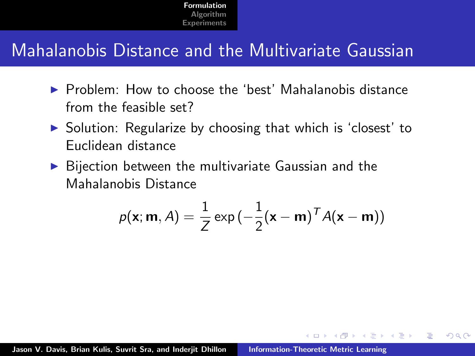## Mahalanobis Distance and the Multivariate Gaussian

- $\triangleright$  Problem: How to choose the 'best' Mahalanobis distance from the feasible set?
- $\triangleright$  Solution: Regularize by choosing that which is 'closest' to Euclidean distance
- $\triangleright$  Bijection between the multivariate Gaussian and the Mahalanobis Distance

$$
p(\mathbf{x}; \mathbf{m}, A) = \frac{1}{Z} \exp\left(-\frac{1}{2}(\mathbf{x} - \mathbf{m})^T A(\mathbf{x} - \mathbf{m})\right)
$$

 $\Omega$ 

 $\mathcal{A}$   $\mathcal{F}$   $\mathcal{F}$   $\mathcal{A}$   $\mathcal{F}$   $\mathcal{F}$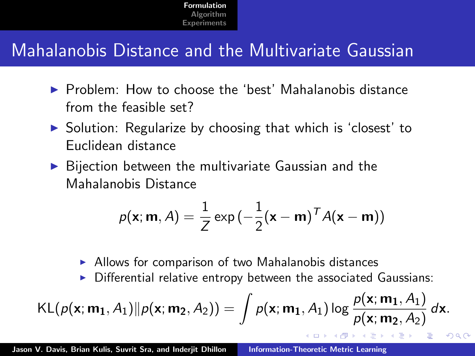## Mahalanobis Distance and the Multivariate Gaussian

- $\triangleright$  Problem: How to choose the 'best' Mahalanobis distance from the feasible set?
- $\triangleright$  Solution: Regularize by choosing that which is 'closest' to Euclidean distance
- $\triangleright$  Bijection between the multivariate Gaussian and the Mahalanobis Distance

$$
p(\mathbf{x}; \mathbf{m}, A) = \frac{1}{Z} \exp\left(-\frac{1}{2}(\mathbf{x} - \mathbf{m})^T A(\mathbf{x} - \mathbf{m})\right)
$$

- $\blacktriangleright$  Allows for comparison of two Mahalanobis distances
- $\triangleright$  Differential relative entropy between the associated Gaussians:

 $4.60 \times 4.70 \times$ 

 $\Omega$ 

$$
\mathsf{KL}(p(\mathbf{x};\mathbf{m_1},A_1)\|p(\mathbf{x};\mathbf{m_2},A_2)) = \int p(\mathbf{x};\mathbf{m_1},A_1) \log \frac{p(\mathbf{x};\mathbf{m_1},A_1)}{p(\mathbf{x};\mathbf{m_2},A_2)} d\mathbf{x}.
$$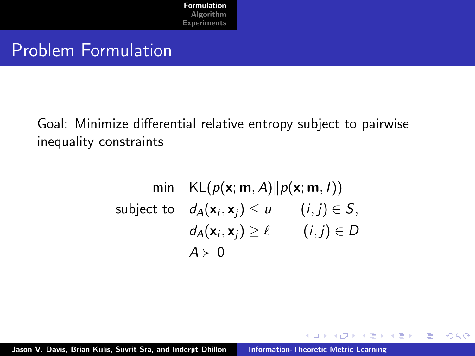#### Problem Formulation

Goal: Minimize differential relative entropy subject to pairwise inequality constraints

$$
\begin{aligned}\n\min \quad & \text{KL}(p(\mathbf{x}; \mathbf{m}, A) \|\ p(\mathbf{x}; \mathbf{m}, I)) \\
\text{subject to} \quad & d_A(\mathbf{x}_i, \mathbf{x}_j) \le u \qquad (i, j) \in S, \\
& d_A(\mathbf{x}_i, \mathbf{x}_j) \ge \ell \qquad (i, j) \in D \\
& A \succ 0\n\end{aligned}
$$

→ イ団 ト イ ヨ ト イ ヨ ト

 $4.17 \times$ 

重

 $2Q$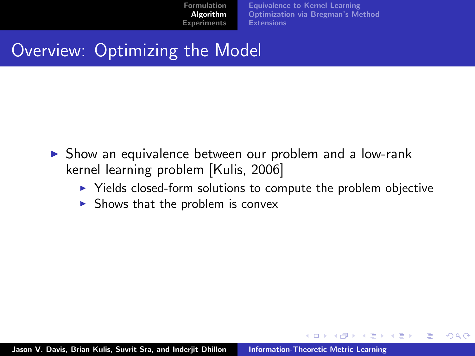[Equivalence to Kernel Learning](#page-15-0) [Optimization via Bregman's Method](#page-21-0) **[Extensions](#page-24-0)** 

K ロ ⊁ K 倒 ≯ K ミ ⊁ K ミ ≯

<span id="page-13-0"></span> $2Q$ 

## Overview: Optimizing the Model

- $\triangleright$  Show an equivalence between our problem and a low-rank kernel learning problem [Kulis, 2006]
	- $\triangleright$  Yields closed-form solutions to compute the problem objective
	- $\triangleright$  Shows that the problem is convex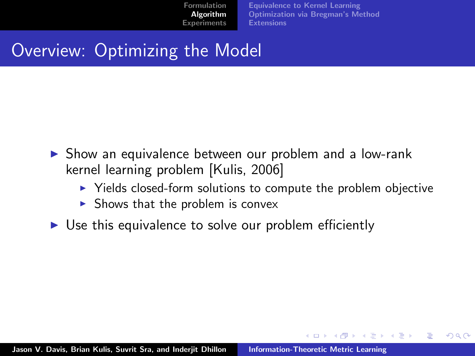[Equivalence to Kernel Learning](#page-15-0) [Optimization via Bregman's Method](#page-21-0) **[Extensions](#page-24-0)** 

イロメ イ母 トラ ミッショント

 $\Omega$ 

## Overview: Optimizing the Model

- $\triangleright$  Show an equivalence between our problem and a low-rank kernel learning problem [Kulis, 2006]
	- $\blacktriangleright$  Yields closed-form solutions to compute the problem objective
	- $\triangleright$  Shows that the problem is convex
- $\triangleright$  Use this equivalence to solve our problem efficiently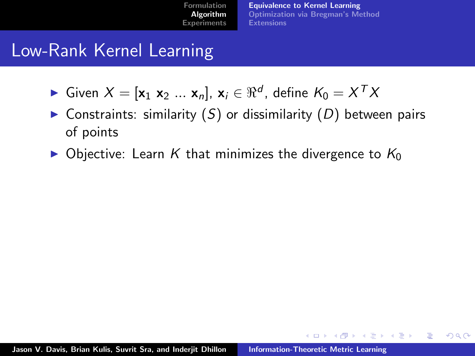[Equivalence to Kernel Learning](#page-16-0) [Optimization via Bregman's Method](#page-21-0) **[Extensions](#page-24-0)** 

K ロ ⊁ K 倒 ≯ K ミ ⊁ K ミ ≯

<span id="page-15-0"></span> $2Q$ 

## Low-Rank Kernel Learning

- ► Given  $X = [\mathbf{x}_1 \ \mathbf{x}_2 \ ... \ \mathbf{x}_n]$ ,  $\mathbf{x}_i \in \Re^d$ , define  $K_0 = X^T X$
- $\triangleright$  Constraints: similarity (S) or dissimilarity (D) between pairs of points
- $\triangleright$  Objective: Learn K that minimizes the divergence to  $K_0$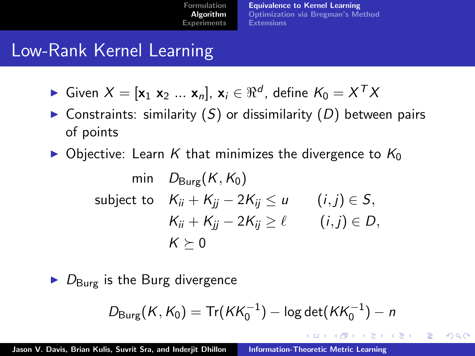[Equivalence to Kernel Learning](#page-15-0) [Optimization via Bregman's Method](#page-21-0) **[Extensions](#page-24-0)** 

イロト イ押 トイモト イモト

<span id="page-16-0"></span> $2Q$ 

# Low-Rank Kernel Learning

- ► Given  $X = [\mathbf{x}_1 \ \mathbf{x}_2 \ ... \ \mathbf{x}_n]$ ,  $\mathbf{x}_i \in \Re^d$ , define  $K_0 = X^T X$
- $\triangleright$  Constraints: similarity (S) or dissimilarity (D) between pairs of points
- $\triangleright$  Objective: Learn K that minimizes the divergence to  $K_0$

$$
\begin{aligned}\n\min \quad & D_{\text{Burg}}(K, K_0) \\
\text{subject to} \quad & K_{ii} + K_{jj} - 2K_{ij} \le u \qquad (i, j) \in S, \\
& K_{ii} + K_{jj} - 2K_{ij} \ge \ell \qquad (i, j) \in D, \\
& K \ge 0\n\end{aligned}
$$

 $\triangleright$   $D_{\text{Bure}}$  is the Burg divergence

$$
D_{\text{Burg}}(K, K_0) = \text{Tr}(KK_0^{-1}) - \log \det(KK_0^{-1}) - n
$$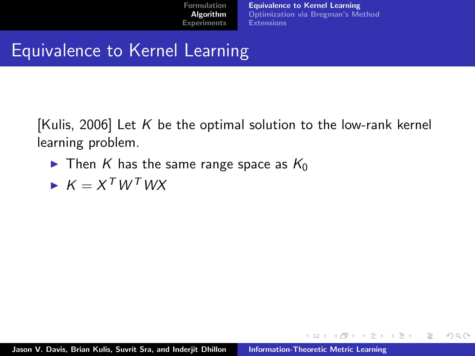[Equivalence to Kernel Learning](#page-15-0) [Optimization via Bregman's Method](#page-21-0) **[Extensions](#page-24-0)** 

K ロ ⊁ K 倒 ≯ K ミ ⊁ K ミ ≯

 $2Q$ 

重

## Equivalence to Kernel Learning

[Kulis, 2006] Let K be the optimal solution to the low-rank kernel learning problem.

- $\blacktriangleright$  Then K has the same range space as  $K_0$
- $\blacktriangleright$   $K = X^T W^T W X$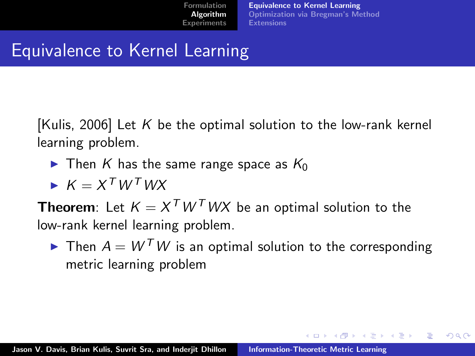[Equivalence to Kernel Learning](#page-15-0) [Optimization via Bregman's Method](#page-21-0) **[Extensions](#page-24-0)** 

イロト イ押 トイチト イチト

 $2Q$ 

# Equivalence to Kernel Learning

[Kulis, 2006] Let K be the optimal solution to the low-rank kernel learning problem.

- $\blacktriangleright$  Then K has the same range space as  $K_0$
- $\blacktriangleright$   $K = X^T W^T W X$

**Theorem**: Let  $K = X^T W^T W X$  be an optimal solution to the low-rank kernel learning problem.

 $\blacktriangleright$  Then  $A = W^T W$  is an optimal solution to the corresponding metric learning problem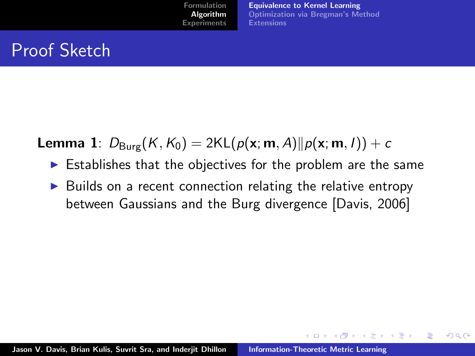[Equivalence to Kernel Learning](#page-15-0) [Optimization via Bregman's Method](#page-21-0) **[Extensions](#page-24-0)** 

K ロ ⊁ K 倒 ≯ K ミ ⊁ K ミ ≯

 $2Q$ 

## Proof Sketch

**Lemma 1**:  $D_{Bure}(K, K_0) = 2KL(p(x; m, A)||p(x; m, I)) + c$ 

- $\triangleright$  Establishes that the objectives for the problem are the same
- $\triangleright$  Builds on a recent connection relating the relative entropy between Gaussians and the Burg divergence [Davis, 2006]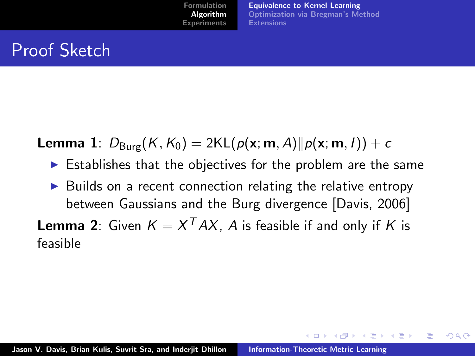[Equivalence to Kernel Learning](#page-15-0) [Optimization via Bregman's Method](#page-21-0) **[Extensions](#page-24-0)** 

イロメ マ桐 メラミンマチャ

 $\Omega$ 

## Proof Sketch

**Lemma 1**:  $D_{Bure}(K, K_0) = 2KL(p(x; m, A)||p(x; m, I)) + c$ 

- $\triangleright$  Establishes that the objectives for the problem are the same
- Builds on a recent connection relating the relative entropy between Gaussians and the Burg divergence [Davis, 2006]

**Lemma 2**: Given  $K = X^{T}AX$ , A is feasible if and only if K is feasible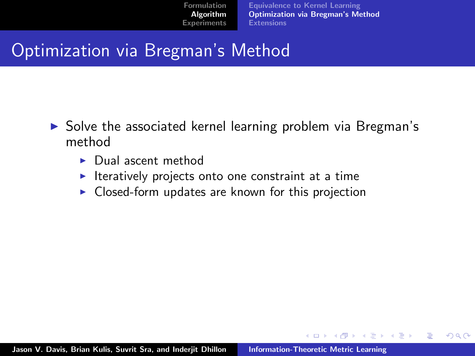[Equivalence to Kernel Learning](#page-15-0) [Optimization via Bregman's Method](#page-23-0) **[Extensions](#page-24-0)** 

K ロ ⊁ K 倒 ≯ K ミ ⊁ K ミ ≯

<span id="page-21-0"></span> $2Q$ 

## Optimization via Bregman's Method

- $\triangleright$  Solve the associated kernel learning problem via Bregman's method
	- $\blacktriangleright$  Dual ascent method
	- $\blacktriangleright$  Iteratively projects onto one constraint at a time
	- $\triangleright$  Closed-form updates are known for this projection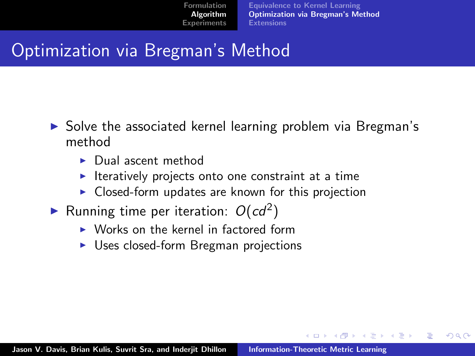[Equivalence to Kernel Learning](#page-15-0) [Optimization via Bregman's Method](#page-23-0) **[Extensions](#page-24-0)** 

 $\mathcal{A}$   $\mathcal{A}$   $\mathcal{B}$   $\mathcal{A}$   $\mathcal{B}$   $\mathcal{B}$ 

 $\rightarrow$   $\equiv$   $\rightarrow$ 

へのへ

## Optimization via Bregman's Method

- $\triangleright$  Solve the associated kernel learning problem via Bregman's method
	- $\blacktriangleright$  Dual ascent method
	- $\blacktriangleright$  Iteratively projects onto one constraint at a time
	- $\triangleright$  Closed-form updates are known for this projection
- Running time per iteration:  $O(cd^2)$ 
	- $\triangleright$  Works on the kernel in factored form
	- $\triangleright$  Uses closed-form Bregman projections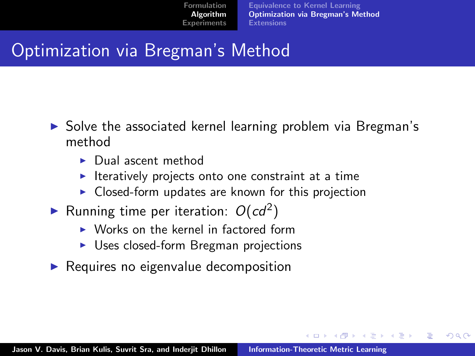[Equivalence to Kernel Learning](#page-15-0) [Optimization via Bregman's Method](#page-21-0) **[Extensions](#page-24-0)** 

 $\mathcal{A}$   $\mathcal{A}$   $\mathcal{B}$   $\mathcal{A}$   $\mathcal{B}$   $\mathcal{B}$ 

<span id="page-23-0"></span>へのへ

## Optimization via Bregman's Method

- $\triangleright$  Solve the associated kernel learning problem via Bregman's method
	- $\blacktriangleright$  Dual ascent method
	- $\blacktriangleright$  Iteratively projects onto one constraint at a time
	- $\triangleright$  Closed-form updates are known for this projection
- Running time per iteration:  $O(cd^2)$ 
	- $\triangleright$  Works on the kernel in factored form
	- $\triangleright$  Uses closed-form Bregman projections
- $\blacktriangleright$  Requires no eigenvalue decomposition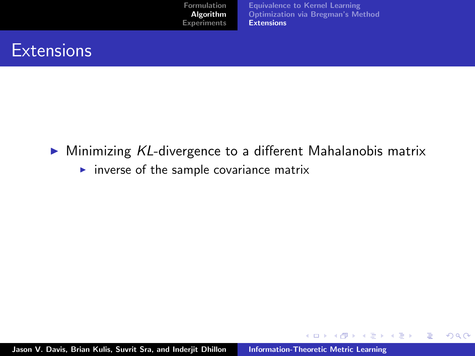[Equivalence to Kernel Learning](#page-15-0) [Optimization via Bregman's Method](#page-21-0) **[Extensions](#page-26-0)** 

K ロ ⊁ K 倒 ≯ K ミ ⊁ K ミ ≯

重

<span id="page-24-0"></span> $2Q$ 

#### **Extensions**

- $\triangleright$  Minimizing KL-divergence to a different Mahalanobis matrix
	- $\triangleright$  inverse of the sample covariance matrix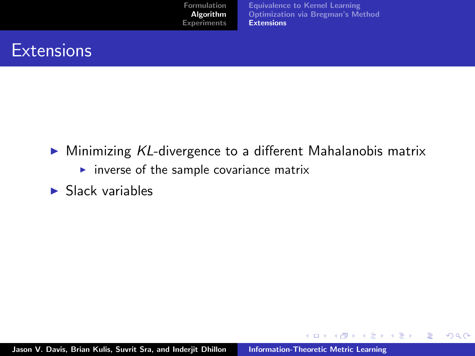[Equivalence to Kernel Learning](#page-15-0) [Optimization via Bregman's Method](#page-21-0) **[Extensions](#page-26-0)** 

K ロ ⊁ K 倒 ≯ K ミ ⊁ K ミ ≯

重

 $2Q$ 

#### **Extensions**

- $\triangleright$  Minimizing KL-divergence to a different Mahalanobis matrix
	- $\triangleright$  inverse of the sample covariance matrix
- $\blacktriangleright$  Slack variables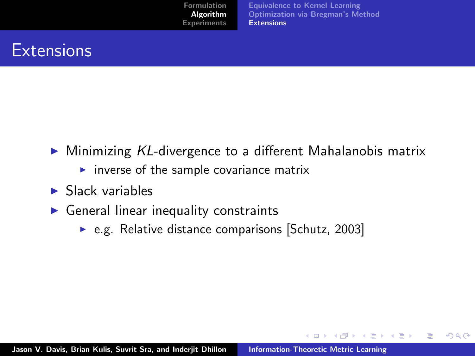[Equivalence to Kernel Learning](#page-15-0) [Optimization via Bregman's Method](#page-21-0) [Extensions](#page-24-0)

K ロ ⊁ K 倒 ≯ K ミ ⊁ K ミ ≯

<span id="page-26-0"></span> $2Q$ 

### **Extensions**

- $\triangleright$  Minimizing KL-divergence to a different Mahalanobis matrix
	- $\triangleright$  inverse of the sample covariance matrix
- $\blacktriangleright$  Slack variables
- $\triangleright$  General linear inequality constraints
	- $\triangleright$  e.g. Relative distance comparisons [Schutz, 2003]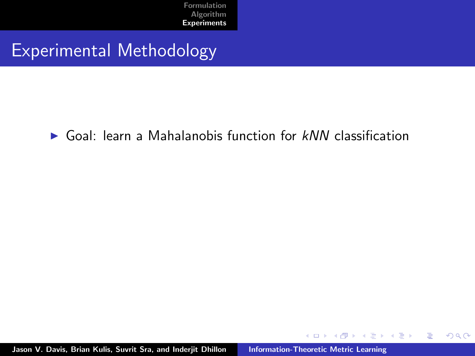#### Experimental Methodology

 $\triangleright$  Goal: learn a Mahalanobis function for  $kNN$  classification

a mills.

→ イ団 ト イ ヨ ト イ ヨ ト

重

<span id="page-27-0"></span> $2Q$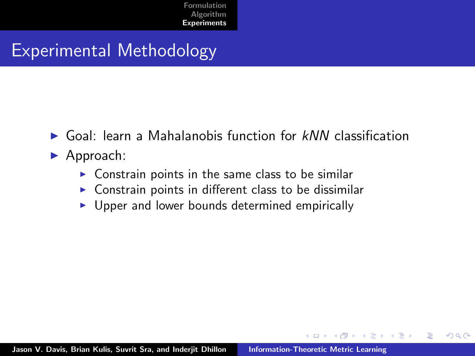### Experimental Methodology

- $\triangleright$  Goal: learn a Mahalanobis function for  $kNN$  classification
- $\blacktriangleright$  Approach:
	- $\triangleright$  Constrain points in the same class to be similar
	- $\triangleright$  Constrain points in different class to be dissimilar
	- $\triangleright$  Upper and lower bounds determined empirically

 $2Q$ 

 $\mathcal{A}$   $\mathcal{F}$   $\mathcal{F}$   $\mathcal{A}$   $\mathcal{F}$   $\mathcal{F}$ 

**ALC: NO**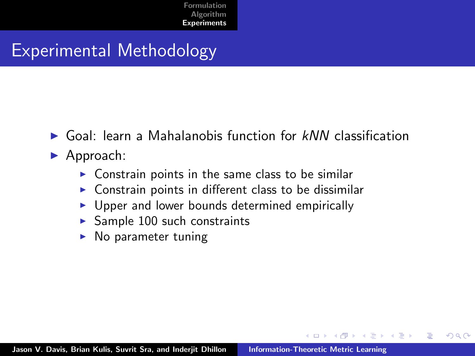### Experimental Methodology

- $\triangleright$  Goal: learn a Mahalanobis function for  $kNN$  classification
- $\blacktriangleright$  Approach:
	- $\triangleright$  Constrain points in the same class to be similar
	- $\triangleright$  Constrain points in different class to be dissimilar
	- $\triangleright$  Upper and lower bounds determined empirically
	- $\triangleright$  Sample 100 such constraints
	- No parameter tuning

 $\Omega$ 

 $\mathcal{A}$   $\mathcal{F}$   $\mathcal{F}$   $\mathcal{A}$   $\mathcal{F}$   $\mathcal{F}$ 

 $\rightarrow$   $\equiv$   $\rightarrow$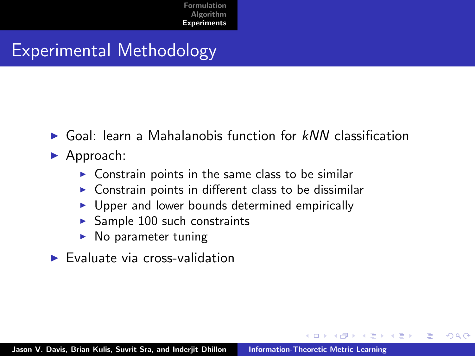## Experimental Methodology

- $\triangleright$  Goal: learn a Mahalanobis function for  $kNN$  classification
- $\blacktriangleright$  Approach:
	- $\triangleright$  Constrain points in the same class to be similar
	- $\triangleright$  Constrain points in different class to be dissimilar
	- $\triangleright$  Upper and lower bounds determined empirically
	- $\blacktriangleright$  Sample 100 such constraints
	- $\triangleright$  No parameter tuning
- $\blacktriangleright$  Evaluate via cross-validation

 $\Omega$ 

4 A 6 4 F 6

 $\left\{ \begin{array}{c} 1 \end{array} \right.$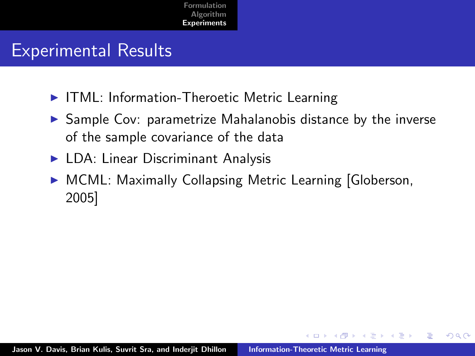## Experimental Results

- ▶ ITML: Information-Theroetic Metric Learning
- $\triangleright$  Sample Cov: parametrize Mahalanobis distance by the inverse of the sample covariance of the data
- $\blacktriangleright$  LDA: Linear Discriminant Analysis
- ▶ MCML: Maximally Collapsing Metric Learning [Globerson, 2005]

 $4.57 + 4.77 +$ 

つくい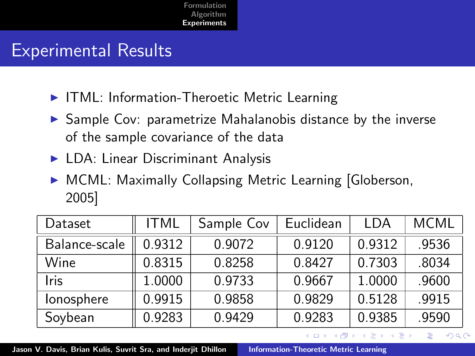## Experimental Results

- ▶ ITML: Information-Theroetic Metric Learning
- $\triangleright$  Sample Cov: parametrize Mahalanobis distance by the inverse of the sample covariance of the data
- $\blacktriangleright$  LDA: Linear Discriminant Analysis
- ▶ MCML: Maximally Collapsing Metric Learning [Globerson, 2005]

| Dataset       | <b>ITML</b> | Sample Cov | Euclidean | I DA   | <b>MCML</b> |
|---------------|-------------|------------|-----------|--------|-------------|
| Balance-scale | 0.9312      | 0.9072     | 0.9120    | 0.9312 | .9536       |
| Wine          | 0.8315      | 0.8258     | 0.8427    | 0.7303 | .8034       |
| <b>Iris</b>   | 1.0000      | 0.9733     | 0.9667    | 1.0000 | .9600       |
| lonosphere    | 0.9915      | 0.9858     | 0.9829    | 0.5128 | .9915       |
| Soybean       | 0.9283      | 0.9429     | 0.9283    | 0.9385 | .9590       |

Jason V. Davis, Brian Kulis, Suvrit Sra, and Inderjit Dhillon | [Information-Theoretic Metric Learning](#page-0-0)

 $4.57 + 4.77 +$ 

つくい